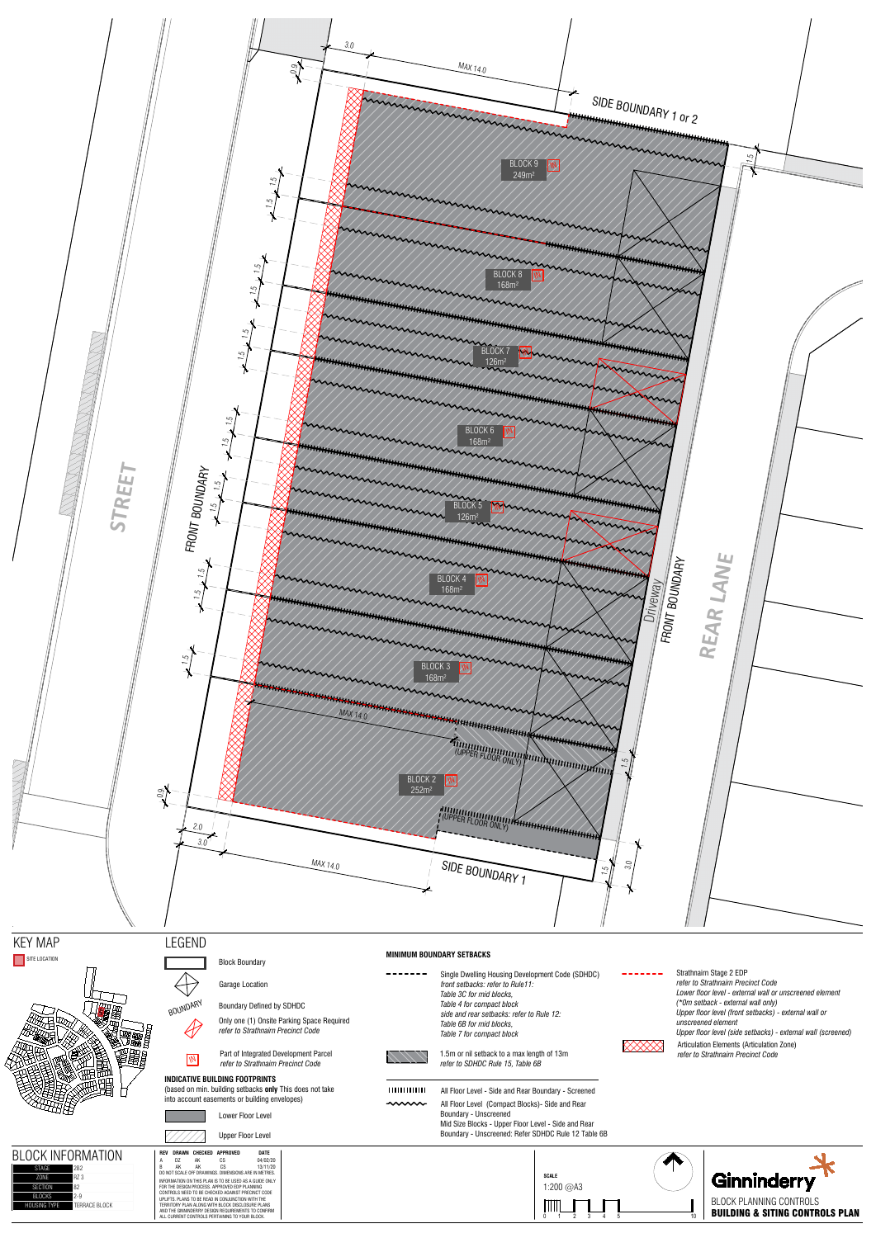





 $\bigoplus$ 

 $\mathscr A$ 





1.5m or nil setback to a max length of 13m *refer to SDHDC Rule 15, Table 6B*

SITE LOCATION STELL BOOK BOUNDARY Garage Location

BOUNDARY Boundary Defined by SDHDC

Articulation Elements (Articulation Zone) *refer to Strathnairn Precinct Code* Strathnairn Stage 2 EDP *refer to Strathnairn Precinct Code Lower floor level - external wall or unscreened element (\*0m setback - external wall only) Upper floor level (front setbacks) - external wall or unscreened element Upper floor level (side setbacks) - external wall (screened)*

| ◡៸᠇                 | Lower Floor Level                                             |  |
|---------------------|---------------------------------------------------------------|--|
|                     | <b>Upper Floor Level</b>                                      |  |
| ∩K<br>INFORMATION   | <b>CHECKED APPROVED</b><br><b>DATE</b><br>DRAWN<br><b>REV</b> |  |
|                     | 04/02/20<br>СS<br>Α<br>D <sub>7</sub><br>AK                   |  |
| <b>STAGE</b><br>2B2 | B<br>CS<br>13/11/20<br>AK<br>AK                               |  |
|                     | DO NOT SCALE OFF DRAWINGS. DIMENSIONS ARE IN METRES.          |  |

INFORMATION ON THIS PLAN IS TO BE USED AS A GUIDE ONLY<br>FOR THE DESIGN PROCESS. APPROVED EDP PLANNING<br>CONTROLS NEED TO BE CHECKED AGAINST PRECINCT CODE UPLIFTS. PLANS TO BE READ IN CONJUNCTION WITH THE<br>TERRITORY PLAN ALONG WITH BLOCK DISCLOSURE PLANS<br>AND THE GINNINDERRY DESIGN REQUIREMENTS TO CONFIRM<br>ALL CURRENT CONTROLS PERTAINING TO YOUR BLOCK. -------Single Dwelling Housing Development Code (SDHDC) ------*front setbacks: refer to Rule11: Table 3C for mid blocks, Table 4 for compact block side and rear setbacks: refer to Rule 12: Table 6B for mid blocks, Table 7 for compact block*

Part of Integrated Development Parcel *refer to Strathnairn Precinct Code*<br>*refer to Strathnairn Precinct Code* 

| 2B <sub>2</sub> |
|-----------------|
| R7 3            |
| 82              |
| $2 - 9$         |
| TFRRACF BIOCK   |
|                 |

## **INDICATIVE BUILDING FOOTPRINTS**

(based on min. building setbacks **only** This does not take into account easements or building envelopes)

# **BLOCK INFORMATION**  $\begin{bmatrix} \mathbf{R}^{\text{REV}} \\ \mathbf{A} & \mathbf{B} \end{bmatrix}$

## **MINIMUM BOUNDARY SETBACKS**

All Floor Level - Side and Rear Boundary - Screened

All Floor Level (Compact Blocks)- Side and Rear  $\rightsquigarrow$ Boundary - Unscreened Mid Size Blocks - Upper Floor Level - Side and Rear Boundary - Unscreened: Refer SDHDC Rule 12 Table 6B

Only one (1) Onsite Parking Space Required *refer to Strathnairn Precinct Code*